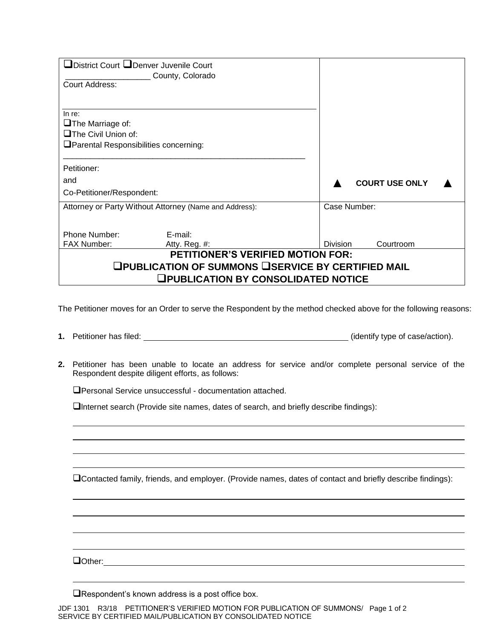| □District Court □Denver Juvenile Court<br>County, Colorado |                              |  |  |  |
|------------------------------------------------------------|------------------------------|--|--|--|
| Court Address:                                             |                              |  |  |  |
|                                                            |                              |  |  |  |
|                                                            |                              |  |  |  |
| In re:                                                     |                              |  |  |  |
| $\Box$ The Marriage of:                                    |                              |  |  |  |
| $\Box$ The Civil Union of:                                 |                              |  |  |  |
| <b>OParental Responsibilities concerning:</b>              |                              |  |  |  |
|                                                            |                              |  |  |  |
| Petitioner:                                                |                              |  |  |  |
| and                                                        | <b>COURT USE ONLY</b>        |  |  |  |
| Co-Petitioner/Respondent:                                  |                              |  |  |  |
| Attorney or Party Without Attorney (Name and Address):     | Case Number:                 |  |  |  |
|                                                            |                              |  |  |  |
|                                                            |                              |  |  |  |
| Phone Number:<br>E-mail:                                   |                              |  |  |  |
| <b>FAX Number:</b><br>Atty. Reg. #:                        | Courtroom<br><b>Division</b> |  |  |  |
| <b>PETITIONER'S VERIFIED MOTION FOR:</b>                   |                              |  |  |  |
| ❑PUBLICATION OF SUMMONS ❑SERVICE BY CERTIFIED MAIL         |                              |  |  |  |
| <b>QPUBLICATION BY CONSOLIDATED NOTICE</b>                 |                              |  |  |  |

The Petitioner moves for an Order to serve the Respondent by the method checked above for the following reasons:

- **1.** Petitioner has filed: (identify type of case/action).
- **2.** Petitioner has been unable to locate an address for service and/or complete personal service of the Respondent despite diligent efforts, as follows:

Personal Service unsuccessful - documentation attached.

 $\Box$ Internet search (Provide site names, dates of search, and briefly describe findings):

Contacted family, friends, and employer. (Provide names, dates of contact and briefly describe findings):

**Other: Communication Communication Communication Communication Communication** 

Respondent's known address is a post office box.

JDF 1301 R3/18 PETITIONER'S VERIFIED MOTION FOR PUBLICATION OF SUMMONS/ Page 1 of 2 SERVICE BY CERTIFIED MAIL/PUBLICATION BY CONSOLIDATED NOTICE